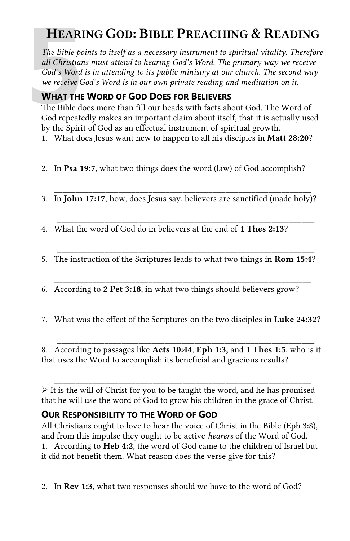# **HEARING GOD: BIBLE PREACHING & READING**

**HEARI**<br>The Bible po<br>all Christian<br>God's Word<br>we receive G<br>**WHAT THE**<br>The Bible do<br>God repeate *The Bible points to itself as a necessary instrument to spiritual vitality. Therefore all Christians must attend to hearing God's Word. The primary way we receive God's Word is in attending to its public ministry at our church. The second way we receive God's Word is in our own private reading and meditation on it.* 

# **WHAT THE WORD OF GOD DOES FOR BELIEVERS**

The Bible does more than fill our heads with facts about God. The Word of God repeatedly makes an important claim about itself, that it is actually used by the Spirit of God as an effectual instrument of spiritual growth.

1. What does Jesus want new to happen to all his disciples in **Matt 28:20**?

\_\_\_\_\_\_\_\_\_\_\_\_\_\_\_\_\_\_\_\_\_\_\_\_\_\_\_\_\_\_\_\_\_\_\_\_\_\_\_\_\_\_\_\_\_\_\_\_\_\_\_\_\_\_\_\_\_\_\_\_

- 2. In **Psa 19:7**, what two things does the word (law) of God accomplish?
- \_\_\_\_\_\_\_\_\_\_\_\_\_\_\_\_\_\_\_\_\_\_\_\_\_\_\_\_\_\_\_\_\_\_\_\_\_\_\_\_\_\_\_\_\_\_\_\_\_\_\_\_\_\_\_\_\_\_\_\_ 3. In **John 17:17**, how, does Jesus say, believers are sanctified (made holy)?
- \_\_\_\_\_\_\_\_\_\_\_\_\_\_\_\_\_\_\_\_\_\_\_\_\_\_\_\_\_\_\_\_\_\_\_\_\_\_\_\_\_\_\_\_\_\_\_\_\_\_\_\_\_\_\_\_\_\_\_\_ 4. What the word of God do in believers at the end of **1 Thes 2:13**?
- 5. The instruction of the Scriptures leads to what two things in **Rom 15:4**?

 $\overline{\phantom{a}}$  ,  $\overline{\phantom{a}}$  ,  $\overline{\phantom{a}}$  ,  $\overline{\phantom{a}}$  ,  $\overline{\phantom{a}}$  ,  $\overline{\phantom{a}}$  ,  $\overline{\phantom{a}}$  ,  $\overline{\phantom{a}}$  ,  $\overline{\phantom{a}}$  ,  $\overline{\phantom{a}}$  ,  $\overline{\phantom{a}}$  ,  $\overline{\phantom{a}}$  ,  $\overline{\phantom{a}}$  ,  $\overline{\phantom{a}}$  ,  $\overline{\phantom{a}}$  ,  $\overline{\phantom{a}}$ 

\_\_\_\_\_\_\_\_\_\_\_\_\_\_\_\_\_\_\_\_\_\_\_\_\_\_\_\_\_\_\_\_\_\_\_\_\_\_\_\_\_\_\_\_\_\_\_\_\_\_\_\_\_\_\_\_\_\_\_\_

- 6. According to **2 Pet 3:18**, in what two things should believers grow?
- \_\_\_\_\_\_\_\_\_\_\_\_\_\_\_\_\_\_\_\_\_\_\_\_\_\_\_\_\_\_\_\_\_\_\_\_\_\_\_\_\_\_\_\_\_\_\_\_\_\_\_\_\_\_\_\_\_\_\_\_ 7. What was the effect of the Scriptures on the two disciples in **Luke 24:32**?

8. According to passages like **Acts 10:44**, **Eph 1:3,** and **1 Thes 1:5**, who is it that uses the Word to accomplish its beneficial and gracious results?

\_\_\_\_\_\_\_\_\_\_\_\_\_\_\_\_\_\_\_\_\_\_\_\_\_\_\_\_\_\_\_\_\_\_\_\_\_\_\_\_\_\_\_\_\_\_\_\_\_\_\_\_\_\_\_\_\_\_\_\_

 $\overline{\phantom{a}}$  ,  $\overline{\phantom{a}}$  ,  $\overline{\phantom{a}}$  ,  $\overline{\phantom{a}}$  ,  $\overline{\phantom{a}}$  ,  $\overline{\phantom{a}}$  ,  $\overline{\phantom{a}}$  ,  $\overline{\phantom{a}}$  ,  $\overline{\phantom{a}}$  ,  $\overline{\phantom{a}}$  ,  $\overline{\phantom{a}}$  ,  $\overline{\phantom{a}}$  ,  $\overline{\phantom{a}}$  ,  $\overline{\phantom{a}}$  ,  $\overline{\phantom{a}}$  ,  $\overline{\phantom{a}}$  $\triangleright$  It is the will of Christ for you to be taught the word, and he has promised that he will use the word of God to grow his children in the grace of Christ.

### **OUR RESPONSIBILITY TO THE WORD OF GOD**

All Christians ought to love to hear the voice of Christ in the Bible (Eph 3:8), and from this impulse they ought to be active *hearers* of the Word of God. 1. According to **Heb 4:2**, the word of God came to the children of Israel but it did not benefit them. What reason does the verse give for this?

 \_\_\_\_\_\_\_\_\_\_\_\_\_\_\_\_\_\_\_\_\_\_\_\_\_\_\_\_\_\_\_\_\_\_\_\_\_\_\_\_\_\_\_\_\_\_\_\_\_\_\_\_\_\_\_\_\_\_\_\_ 2. In **Rev 1:3**, what two responses should we have to the word of God?

 $\overline{\phantom{a}}$  ,  $\overline{\phantom{a}}$  ,  $\overline{\phantom{a}}$  ,  $\overline{\phantom{a}}$  ,  $\overline{\phantom{a}}$  ,  $\overline{\phantom{a}}$  ,  $\overline{\phantom{a}}$  ,  $\overline{\phantom{a}}$  ,  $\overline{\phantom{a}}$  ,  $\overline{\phantom{a}}$  ,  $\overline{\phantom{a}}$  ,  $\overline{\phantom{a}}$  ,  $\overline{\phantom{a}}$  ,  $\overline{\phantom{a}}$  ,  $\overline{\phantom{a}}$  ,  $\overline{\phantom{a}}$